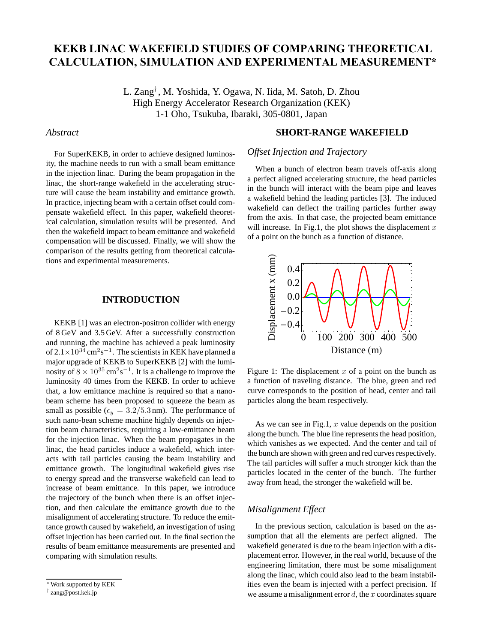# **KEKB LINAC WAKEFIELD STUDIES OF COMPARING THEORETICAL CALCULATION, SIMULATION AND EXPERIMENTAL MEASUREMENT\***

L. Zang*†* , M. Yoshida, Y. Ogawa, N. Iida, M. Satoh, D. Zhou High Energy Accelerator Research Organization (KEK) 1-1 Oho, Tsukuba, Ibaraki, 305-0801, Japan

## *Abstract*

For SuperKEKB, in order to achieve designed luminosity, the machine needs to run with a small beam emittance in the injection linac. During the beam propagation in the linac, the short-range wakefield in the accelerating structure will cause the beam instability and emittance growth. In practice, injecting beam with a certain offset could compensate wakefield effect. In this paper, wakefield theoretical calculation, simulation results will be presented. And then the wakefield impact to beam emittance and wakefield compensation will be discussed. Finally, we will show the comparison of the results getting from theoretical calculations and experimental measurements.

## **INTRODUCTION**

KEKB [1] was an electron-positron collider with energy of 8 GeV and 3.5 GeV. After a successfully construction and running, the machine has achieved a peak luminosity of 2.1×10<sup>34</sup> cm<sup>2</sup>s*−*<sup>1</sup>. The scientists in KEK have planned a major upgrade of KEKB to SuperKEKB [2] with the luminosity of  $8 \times 10^{35}$  cm<sup>2</sup>s<sup>−1</sup>. It is a challenge to improve the luminosity 40 times from the KEKB. In order to achieve that, a low emittance machine is required so that a nanobeam scheme has been proposed to squeeze the beam as small as possible ( $\epsilon_y = 3.2/5.3$  nm). The performance of such nano-bean scheme machine highly depends on injection beam characteristics, requiring a low-emittance beam for the injection linac. When the beam propagates in the linac, the head particles induce a wakefield, which interacts with tail particles causing the beam instability and emittance growth. The longitudinal wakefield gives rise to energy spread and the transverse wakefield can lead to increase of beam emittance. In this paper, we introduce the trajectory of the bunch when there is an offset injection, and then calculate the emittance growth due to the misalignment of accelerating structure. To reduce the emittance growth caused by wakefield, an investigation of using offset injection has been carried out. In the final section the results of beam emittance measurements are presented and comparing with simulation results.

## **SHORT-RANGE WAKEFIELD**

## *Offset Injection and Trajectory*

When a bunch of electron beam travels off-axis along a perfect aligned accelerating structure, the head particles in the bunch will interact with the beam pipe and leaves a wakefield behind the leading particles [3]. The induced wakefield can deflect the trailing particles further away from the axis. In that case, the projected beam emittance will increase. In Fig.1, the plot shows the displacement  $x$ of a point on the bunch as a function of distance.



Figure 1: The displacement  $x$  of a point on the bunch as a function of traveling distance. The blue, green and red curve corresponds to the position of head, center and tail particles along the beam respectively.

As we can see in Fig.1,  $x$  value depends on the position along the bunch. The blue line represents the head position, which vanishes as we expected. And the center and tail of the bunch are shown with green and red curves respectively. The tail particles will suffer a much stronger kick than the particles located in the center of the bunch. The further away from head, the stronger the wakefield will be.

## *Misalignment Effect*

In the previous section, calculation is based on the assumption that all the elements are perfect aligned. The wakefield generated is due to the beam injection with a displacement error. However, in the real world, because of the engineering limitation, there must be some misalignment along the linac, which could also lead to the beam instabilities even the beam is injected with a perfect precision. If we assume a misalignment error  $d$ , the  $x$  coordinates square

<sup>∗</sup>Work supported by KEK

<sup>†</sup> zang@post.kek.jp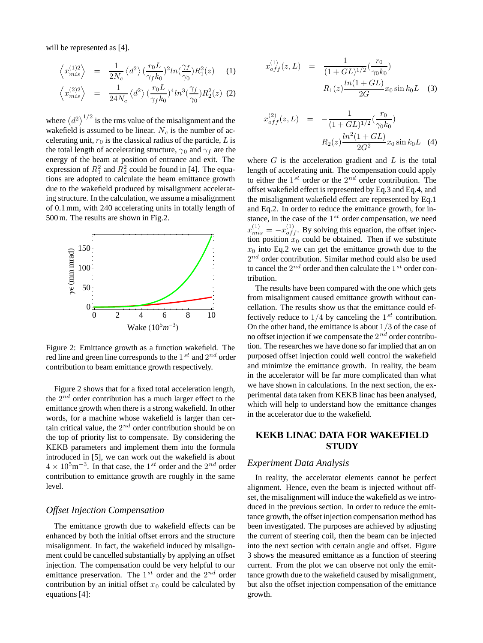will be represented as [4].

$$
\left\langle x_{mis}^{(1)2} \right\rangle = \frac{1}{2N_c} \left\langle d^2 \right\rangle \left( \frac{r_0 L}{\gamma_f k_0} \right)^2 ln(\frac{\gamma_f}{\gamma_0}) R_1^2(z) \tag{1}
$$

$$
\left\langle x_{mis}^{(2)2} \right\rangle \quad = \quad \frac{1}{24N_c} \left\langle d^2 \right\rangle \left( \frac{r_0 L}{\gamma_f k_0} \right)^4 \ln^3\left( \frac{\gamma_f}{\gamma_0} \right) R_2^2(z) \tag{2}
$$

where  $\langle d^2 \rangle^{1/2}$  is the rms value of the misalignment and the wakefield is assumed to be linear.  $N_c$  is the number of accelerating unit,  $r_0$  is the classical radius of the particle, L is the total length of accelerating structure,  $\gamma_0$  and  $\gamma_f$  are the energy of the beam at position of entrance and exit. The expression of  $R_1^2$  and  $R_2^2$  could be found in [4]. The equations are adopted to calculate the beam emittance growth due to the wakefield produced by misalignment accelerating structure. In the calculation, we assume a misalignment of 0.1 mm, with 240 accelerating units in totally length of 500 m. The results are shown in Fig.2.



Figure 2: Emittance growth as a function wakefield. The red line and green line corresponds to the 1 *st* and 2*nd* order contribution to beam emittance growth respectively.

Figure 2 shows that for a fixed total acceleration length, the 2*nd* order contribution has a much larger effect to the emittance growth when there is a strong wakefield. In other words, for a machine whose wakefield is larger than certain critical value, the 2*nd* order contribution should be on the top of priority list to compensate. By considering the KEKB parameters and implement them into the formula introduced in [5], we can work out the wakefield is about <sup>4</sup> <sup>×</sup> <sup>10</sup><sup>5</sup>m*−*<sup>3</sup>. In that case, the <sup>1</sup>*st* order and the <sup>2</sup>*nd* order contribution to emittance growth are roughly in the same level.

#### *Offset Injection Compensation*

The emittance growth due to wakefield effects can be enhanced by both the initial offset errors and the structure misalignment. In fact, the wakefield induced by misalignment could be cancelled substantially by applying an offset injection. The compensation could be very helpful to our emittance preservation. The 1*st* order and the 2*nd* order contribution by an initial offset  $x_0$  could be calculated by equations [4]:

$$
x_{off}^{(1)}(z,L) = \frac{1}{(1+GL)^{1/2}} \left(\frac{r_0}{\gamma_0 k_0}\right)
$$

$$
R_1(z) \frac{\ln(1+GL)}{2G} x_0 \sin k_0 L \quad (3)
$$

$$
x_{off}^{(2)}(z,L) = -\frac{1}{(1+GL)^{1/2}} \left(\frac{r_0}{\gamma_0 k_0}\right)
$$

$$
R_2(z) \frac{\ln^2(1+GL)}{2G^2} x_0 \sin k_0 L \quad (4)
$$

where  $G$  is the acceleration gradient and  $L$  is the total length of accelerating unit. The compensation could apply to either the 1*st* order or the 2*nd* order contribution. The offset wakefield effect is represented by Eq.3 and Eq.4, and the misalignment wakefield effect are represented by Eq.1 and Eq.2. In order to reduce the emittance growth, for instance, in the case of the 1*st* order compensation, we need  $x_{mis}^{(1)} = -x_{off}^{(1)}$ . By solving this equation, the offset injection position  $x_0$  could be obtained. Then if we substitute  $x_0$  into Eq.2 we can get the emittance growth due to the 2*nd* order contribution. Similar method could also be used to cancel the 2*nd* order and then calculate the 1*st* order contribution.

The results have been compared with the one which gets from misalignment caused emittance growth without cancellation. The results show us that the emittance could effectively reduce to  $1/4$  by canceling the  $1^{st}$  contribution. On the other hand, the emittance is about 1/3 of the case of no offset injection if we compensate the 2*nd* order contribution. The researches we have done so far implied that an on purposed offset injection could well control the wakefield and minimize the emittance growth. In reality, the beam in the accelerator will be far more complicated than what we have shown in calculations. In the next section, the experimental data taken from KEKB linac has been analysed, which will help to understand how the emittance changes in the accelerator due to the wakefield.

## **KEKB LINAC DATA FOR WAKEFIELD STUDY**

## *Experiment Data Analysis*

In reality, the accelerator elements cannot be perfect alignment. Hence, even the beam is injected without offset, the misalignment will induce the wakefield as we introduced in the previous section. In order to reduce the emittance growth, the offset injection compensation method has been investigated. The purposes are achieved by adjusting the current of steering coil, then the beam can be injected into the next section with certain angle and offset. Figure 3 shows the measured emittance as a function of steering current. From the plot we can observe not only the emittance growth due to the wakefield caused by misalignment, but also the offset injection compensation of the emittance growth.